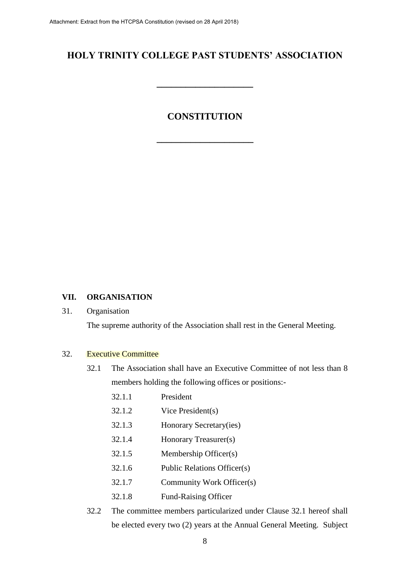# **HOLY TRINITY COLLEGE PAST STUDENTS' ASSOCIATION**

**\_\_\_\_\_\_\_\_\_\_\_\_\_\_\_\_\_\_\_\_**

# **CONSTITUTION**

**\_\_\_\_\_\_\_\_\_\_\_\_\_\_\_\_\_\_\_\_**

# **VII. ORGANISATION**

# 31. Organisation

The supreme authority of the Association shall rest in the General Meeting.

## 32. Executive Committee

- 32.1 The Association shall have an Executive Committee of not less than 8 members holding the following offices or positions:-
	- 32.1.1 President
	- 32.1.2 Vice President(s)
	- 32.1.3 Honorary Secretary(ies)
	- 32.1.4 Honorary Treasurer(s)
	- 32.1.5 Membership Officer(s)
	- 32.1.6 Public Relations Officer(s)
	- 32.1.7 Community Work Officer(s)
	- 32.1.8 Fund-Raising Officer
- 32.2 The committee members particularized under Clause 32.1 hereof shall be elected every two (2) years at the Annual General Meeting. Subject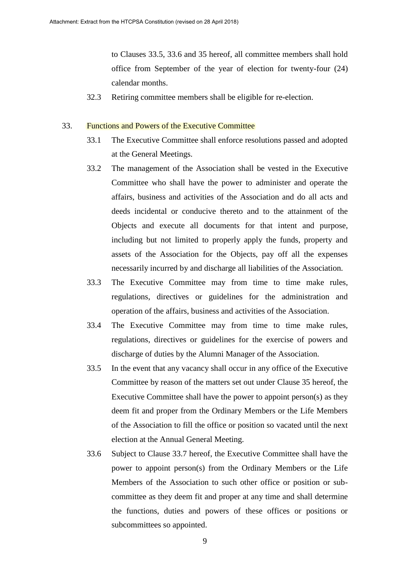to Clauses 33.5, 33.6 and 35 hereof, all committee members shall hold office from September of the year of election for twenty-four (24) calendar months.

32.3 Retiring committee members shall be eligible for re-election.

## 33. Functions and Powers of the Executive Committee

- 33.1 The Executive Committee shall enforce resolutions passed and adopted at the General Meetings.
- 33.2 The management of the Association shall be vested in the Executive Committee who shall have the power to administer and operate the affairs, business and activities of the Association and do all acts and deeds incidental or conducive thereto and to the attainment of the Objects and execute all documents for that intent and purpose, including but not limited to properly apply the funds, property and assets of the Association for the Objects, pay off all the expenses necessarily incurred by and discharge all liabilities of the Association.
- 33.3 The Executive Committee may from time to time make rules, regulations, directives or guidelines for the administration and operation of the affairs, business and activities of the Association.
- 33.4 The Executive Committee may from time to time make rules, regulations, directives or guidelines for the exercise of powers and discharge of duties by the Alumni Manager of the Association.
- 33.5 In the event that any vacancy shall occur in any office of the Executive Committee by reason of the matters set out under Clause 35 hereof, the Executive Committee shall have the power to appoint person(s) as they deem fit and proper from the Ordinary Members or the Life Members of the Association to fill the office or position so vacated until the next election at the Annual General Meeting.
- 33.6 Subject to Clause 33.7 hereof, the Executive Committee shall have the power to appoint person(s) from the Ordinary Members or the Life Members of the Association to such other office or position or subcommittee as they deem fit and proper at any time and shall determine the functions, duties and powers of these offices or positions or subcommittees so appointed.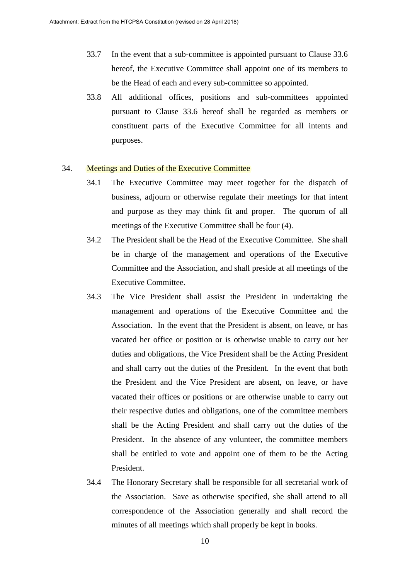- 33.7 In the event that a sub-committee is appointed pursuant to Clause 33.6 hereof, the Executive Committee shall appoint one of its members to be the Head of each and every sub-committee so appointed.
- 33.8 All additional offices, positions and sub-committees appointed pursuant to Clause 33.6 hereof shall be regarded as members or constituent parts of the Executive Committee for all intents and purposes.

#### 34. Meetings and Duties of the Executive Committee

- 34.1 The Executive Committee may meet together for the dispatch of business, adjourn or otherwise regulate their meetings for that intent and purpose as they may think fit and proper. The quorum of all meetings of the Executive Committee shall be four (4).
- 34.2 The President shall be the Head of the Executive Committee. She shall be in charge of the management and operations of the Executive Committee and the Association, and shall preside at all meetings of the Executive Committee.
- 34.3 The Vice President shall assist the President in undertaking the management and operations of the Executive Committee and the Association. In the event that the President is absent, on leave, or has vacated her office or position or is otherwise unable to carry out her duties and obligations, the Vice President shall be the Acting President and shall carry out the duties of the President. In the event that both the President and the Vice President are absent, on leave, or have vacated their offices or positions or are otherwise unable to carry out their respective duties and obligations, one of the committee members shall be the Acting President and shall carry out the duties of the President. In the absence of any volunteer, the committee members shall be entitled to vote and appoint one of them to be the Acting President.
- 34.4 The Honorary Secretary shall be responsible for all secretarial work of the Association. Save as otherwise specified, she shall attend to all correspondence of the Association generally and shall record the minutes of all meetings which shall properly be kept in books.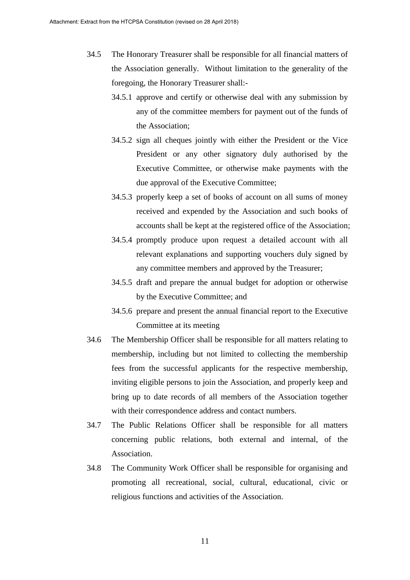- 34.5 The Honorary Treasurer shall be responsible for all financial matters of the Association generally. Without limitation to the generality of the foregoing, the Honorary Treasurer shall:-
	- 34.5.1 approve and certify or otherwise deal with any submission by any of the committee members for payment out of the funds of the Association;
	- 34.5.2 sign all cheques jointly with either the President or the Vice President or any other signatory duly authorised by the Executive Committee, or otherwise make payments with the due approval of the Executive Committee;
	- 34.5.3 properly keep a set of books of account on all sums of money received and expended by the Association and such books of accounts shall be kept at the registered office of the Association;
	- 34.5.4 promptly produce upon request a detailed account with all relevant explanations and supporting vouchers duly signed by any committee members and approved by the Treasurer;
	- 34.5.5 draft and prepare the annual budget for adoption or otherwise by the Executive Committee; and
	- 34.5.6 prepare and present the annual financial report to the Executive Committee at its meeting
- 34.6 The Membership Officer shall be responsible for all matters relating to membership, including but not limited to collecting the membership fees from the successful applicants for the respective membership, inviting eligible persons to join the Association, and properly keep and bring up to date records of all members of the Association together with their correspondence address and contact numbers.
- 34.7 The Public Relations Officer shall be responsible for all matters concerning public relations, both external and internal, of the Association.
- 34.8 The Community Work Officer shall be responsible for organising and promoting all recreational, social, cultural, educational, civic or religious functions and activities of the Association.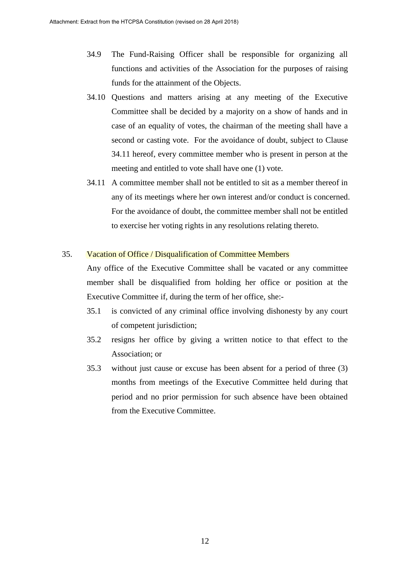- 34.9 The Fund-Raising Officer shall be responsible for organizing all functions and activities of the Association for the purposes of raising funds for the attainment of the Objects.
- 34.10 Questions and matters arising at any meeting of the Executive Committee shall be decided by a majority on a show of hands and in case of an equality of votes, the chairman of the meeting shall have a second or casting vote. For the avoidance of doubt, subject to Clause 34.11 hereof, every committee member who is present in person at the meeting and entitled to vote shall have one (1) vote.
- 34.11 A committee member shall not be entitled to sit as a member thereof in any of its meetings where her own interest and/or conduct is concerned. For the avoidance of doubt, the committee member shall not be entitled to exercise her voting rights in any resolutions relating thereto.

# 35. Vacation of Office / Disqualification of Committee Members

Any office of the Executive Committee shall be vacated or any committee member shall be disqualified from holding her office or position at the Executive Committee if, during the term of her office, she:-

- 35.1 is convicted of any criminal office involving dishonesty by any court of competent jurisdiction;
- 35.2 resigns her office by giving a written notice to that effect to the Association; or
- 35.3 without just cause or excuse has been absent for a period of three (3) months from meetings of the Executive Committee held during that period and no prior permission for such absence have been obtained from the Executive Committee.

12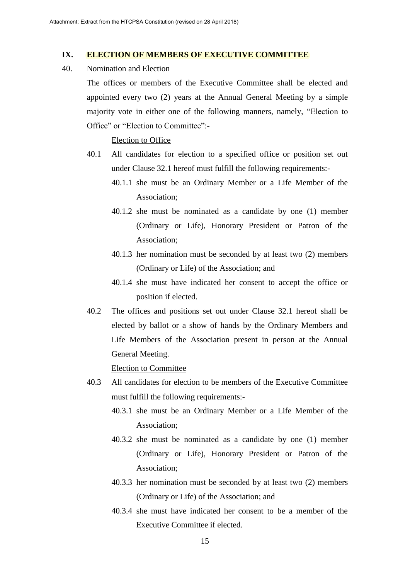### **IX. ELECTION OF MEMBERS OF EXECUTIVE COMMITTEE**

40. Nomination and Election

The offices or members of the Executive Committee shall be elected and appointed every two (2) years at the Annual General Meeting by a simple majority vote in either one of the following manners, namely, "Election to Office" or "Election to Committee":-

## Election to Office

- 40.1 All candidates for election to a specified office or position set out under Clause 32.1 hereof must fulfill the following requirements:-
	- 40.1.1 she must be an Ordinary Member or a Life Member of the Association;
	- 40.1.2 she must be nominated as a candidate by one (1) member (Ordinary or Life), Honorary President or Patron of the Association;
	- 40.1.3 her nomination must be seconded by at least two (2) members (Ordinary or Life) of the Association; and
	- 40.1.4 she must have indicated her consent to accept the office or position if elected.
- 40.2 The offices and positions set out under Clause 32.1 hereof shall be elected by ballot or a show of hands by the Ordinary Members and Life Members of the Association present in person at the Annual General Meeting.

Election to Committee

- 40.3 All candidates for election to be members of the Executive Committee must fulfill the following requirements:-
	- 40.3.1 she must be an Ordinary Member or a Life Member of the Association;
	- 40.3.2 she must be nominated as a candidate by one (1) member (Ordinary or Life), Honorary President or Patron of the Association;
	- 40.3.3 her nomination must be seconded by at least two (2) members (Ordinary or Life) of the Association; and
	- 40.3.4 she must have indicated her consent to be a member of the Executive Committee if elected.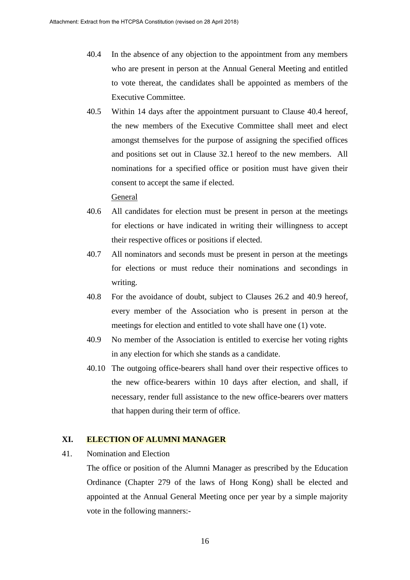- 40.4 In the absence of any objection to the appointment from any members who are present in person at the Annual General Meeting and entitled to vote thereat, the candidates shall be appointed as members of the Executive Committee.
- 40.5 Within 14 days after the appointment pursuant to Clause 40.4 hereof, the new members of the Executive Committee shall meet and elect amongst themselves for the purpose of assigning the specified offices and positions set out in Clause 32.1 hereof to the new members. All nominations for a specified office or position must have given their consent to accept the same if elected.

General

- 40.6 All candidates for election must be present in person at the meetings for elections or have indicated in writing their willingness to accept their respective offices or positions if elected.
- 40.7 All nominators and seconds must be present in person at the meetings for elections or must reduce their nominations and secondings in writing.
- 40.8 For the avoidance of doubt, subject to Clauses 26.2 and 40.9 hereof, every member of the Association who is present in person at the meetings for election and entitled to vote shall have one (1) vote.
- 40.9 No member of the Association is entitled to exercise her voting rights in any election for which she stands as a candidate.
- 40.10 The outgoing office-bearers shall hand over their respective offices to the new office-bearers within 10 days after election, and shall, if necessary, render full assistance to the new office-bearers over matters that happen during their term of office.

## **XI. ELECTION OF ALUMNI MANAGER**

41. Nomination and Election

The office or position of the Alumni Manager as prescribed by the Education Ordinance (Chapter 279 of the laws of Hong Kong) shall be elected and appointed at the Annual General Meeting once per year by a simple majority vote in the following manners:-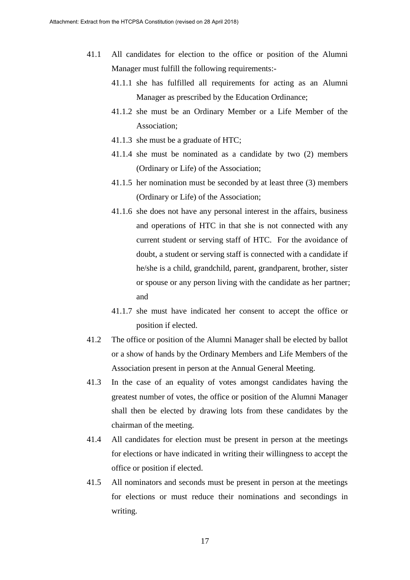- 41.1 All candidates for election to the office or position of the Alumni Manager must fulfill the following requirements:-
	- 41.1.1 she has fulfilled all requirements for acting as an Alumni Manager as prescribed by the Education Ordinance;
	- 41.1.2 she must be an Ordinary Member or a Life Member of the Association;
	- 41.1.3 she must be a graduate of HTC;
	- 41.1.4 she must be nominated as a candidate by two (2) members (Ordinary or Life) of the Association;
	- 41.1.5 her nomination must be seconded by at least three (3) members (Ordinary or Life) of the Association;
	- 41.1.6 she does not have any personal interest in the affairs, business and operations of HTC in that she is not connected with any current student or serving staff of HTC. For the avoidance of doubt, a student or serving staff is connected with a candidate if he/she is a child, grandchild, parent, grandparent, brother, sister or spouse or any person living with the candidate as her partner; and
	- 41.1.7 she must have indicated her consent to accept the office or position if elected.
- 41.2 The office or position of the Alumni Manager shall be elected by ballot or a show of hands by the Ordinary Members and Life Members of the Association present in person at the Annual General Meeting.
- 41.3 In the case of an equality of votes amongst candidates having the greatest number of votes, the office or position of the Alumni Manager shall then be elected by drawing lots from these candidates by the chairman of the meeting.
- 41.4 All candidates for election must be present in person at the meetings for elections or have indicated in writing their willingness to accept the office or position if elected.
- 41.5 All nominators and seconds must be present in person at the meetings for elections or must reduce their nominations and secondings in writing.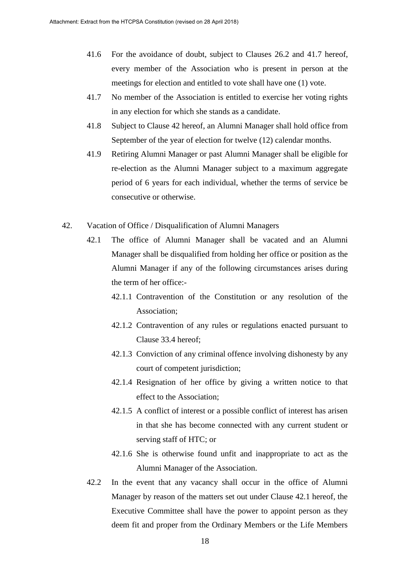- 41.6 For the avoidance of doubt, subject to Clauses 26.2 and 41.7 hereof, every member of the Association who is present in person at the meetings for election and entitled to vote shall have one (1) vote.
- 41.7 No member of the Association is entitled to exercise her voting rights in any election for which she stands as a candidate.
- 41.8 Subject to Clause 42 hereof, an Alumni Manager shall hold office from September of the year of election for twelve (12) calendar months.
- 41.9 Retiring Alumni Manager or past Alumni Manager shall be eligible for re-election as the Alumni Manager subject to a maximum aggregate period of 6 years for each individual, whether the terms of service be consecutive or otherwise.
- 42. Vacation of Office / Disqualification of Alumni Managers
	- 42.1 The office of Alumni Manager shall be vacated and an Alumni Manager shall be disqualified from holding her office or position as the Alumni Manager if any of the following circumstances arises during the term of her office:-
		- 42.1.1 Contravention of the Constitution or any resolution of the Association;
		- 42.1.2 Contravention of any rules or regulations enacted pursuant to Clause 33.4 hereof;
		- 42.1.3 Conviction of any criminal offence involving dishonesty by any court of competent jurisdiction;
		- 42.1.4 Resignation of her office by giving a written notice to that effect to the Association;
		- 42.1.5 A conflict of interest or a possible conflict of interest has arisen in that she has become connected with any current student or serving staff of HTC; or
		- 42.1.6 She is otherwise found unfit and inappropriate to act as the Alumni Manager of the Association.
	- 42.2 In the event that any vacancy shall occur in the office of Alumni Manager by reason of the matters set out under Clause 42.1 hereof, the Executive Committee shall have the power to appoint person as they deem fit and proper from the Ordinary Members or the Life Members